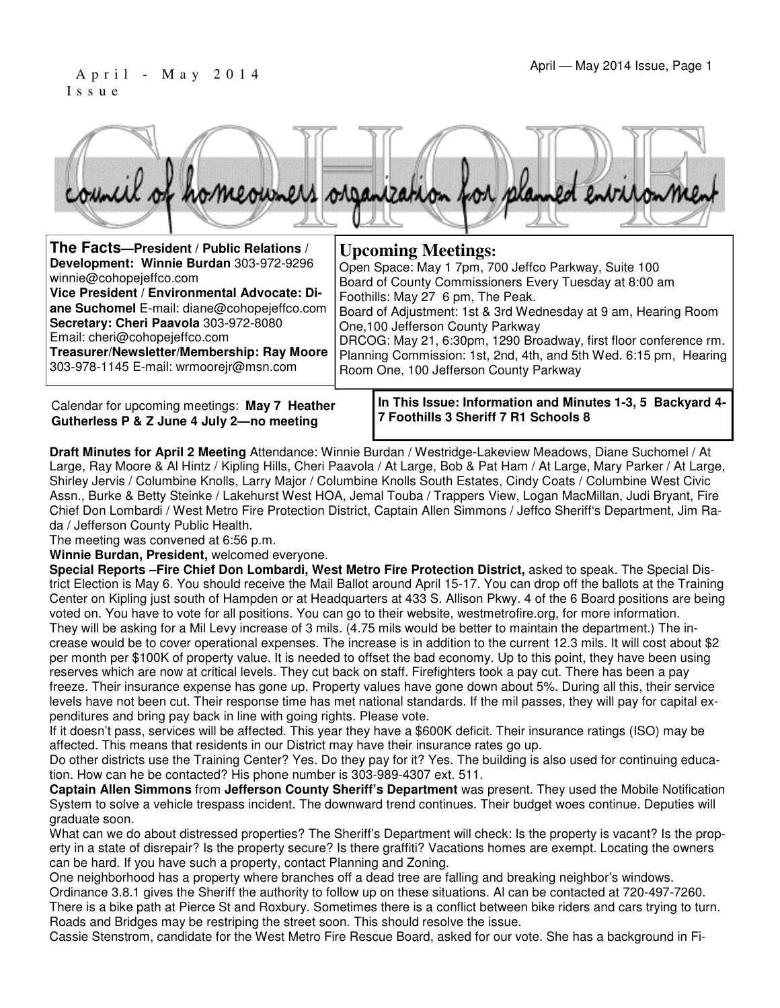#### April - May 2014 Issue, Page 1 I s s u e



| The Facts-President / Public Relations /                                                                                                                                                                                                                                                                                            | <b>Upcoming Meetings:</b>                                                                                                                                                                                                                                                                                                                                                                                                                     |
|-------------------------------------------------------------------------------------------------------------------------------------------------------------------------------------------------------------------------------------------------------------------------------------------------------------------------------------|-----------------------------------------------------------------------------------------------------------------------------------------------------------------------------------------------------------------------------------------------------------------------------------------------------------------------------------------------------------------------------------------------------------------------------------------------|
| Development: Winnie Burdan 303-972-9296<br>winnie@cohopejeffco.com<br>Vice President / Environmental Advocate: Di-<br>ane Suchomel E-mail: diane@cohopejeffco.com<br>Secretary: Cheri Paavola 303-972-8080<br>Email: cheri@cohopejeffco.com<br>Treasurer/Newsletter/Membership: Ray Moore<br>303-978-1145 E-mail: wrmoorejr@msn.com | Open Space: May 1 7pm, 700 Jeffco Parkway, Suite 100<br>Board of County Commissioners Every Tuesday at 8:00 am<br>Foothills: May 27 6 pm, The Peak.<br>Board of Adjustment: 1st & 3rd Wednesday at 9 am, Hearing Room<br>One, 100 Jefferson County Parkway<br>DRCOG: May 21, 6:30pm, 1290 Broadway, first floor conference rm.<br>Planning Commission: 1st, 2nd, 4th, and 5th Wed. 6:15 pm, Hearing<br>Room One, 100 Jefferson County Parkway |
|                                                                                                                                                                                                                                                                                                                                     |                                                                                                                                                                                                                                                                                                                                                                                                                                               |

Calendar for upcoming meetings: **May 7 Heather Gutherless P & Z June 4 July 2—no meeting** 

**In This Issue: Information and Minutes 1-3, 5 Backyard 4- 7 Foothills 3 Sheriff 7 R1 Schools 8** 

**Draft Minutes for April 2 Meeting** Attendance: Winnie Burdan / Westridge-Lakeview Meadows, Diane Suchomel / At Large, Ray Moore & Al Hintz / Kipling Hills, Cheri Paavola / At Large, Bob & Pat Ham / At Large, Mary Parker / At Large, Shirley Jervis / Columbine Knolls, Larry Major / Columbine Knolls South Estates, Cindy Coats / Columbine West Civic Assn., Burke & Betty Steinke / Lakehurst West HOA, Jemal Touba / Trappers View, Logan MacMillan, Judi Bryant, Fire Chief Don Lombardi / West Metro Fire Protection District, Captain Allen Simmons / Jeffco Sheriff's Department, Jim Rada / Jefferson County Public Health.

The meeting was convened at 6:56 p.m.

**Winnie Burdan, President,** welcomed everyone.

**Special Reports –Fire Chief Don Lombardi, West Metro Fire Protection District,** asked to speak. The Special District Election is May 6. You should receive the Mail Ballot around April 15-17. You can drop off the ballots at the Training Center on Kipling just south of Hampden or at Headquarters at 433 S. Allison Pkwy. 4 of the 6 Board positions are being voted on. You have to vote for all positions. You can go to their website, westmetrofire.org, for more information. They will be asking for a Mil Levy increase of 3 mils. (4.75 mils would be better to maintain the department.) The increase would be to cover operational expenses. The increase is in addition to the current 12.3 mils. It will cost about \$2 per month per \$100K of property value. It is needed to offset the bad economy. Up to this point, they have been using reserves which are now at critical levels. They cut back on staff. Firefighters took a pay cut. There has been a pay freeze. Their insurance expense has gone up. Property values have gone down about 5%. During all this, their service levels have not been cut. Their response time has met national standards. If the mil passes, they will pay for capital expenditures and bring pay back in line with going rights. Please vote.

If it doesn't pass, services will be affected. This year they have a \$600K deficit. Their insurance ratings (ISO) may be affected. This means that residents in our District may have their insurance rates go up.

Do other districts use the Training Center? Yes. Do they pay for it? Yes. The building is also used for continuing education. How can he be contacted? His phone number is 303-989-4307 ext. 511.

**Captain Allen Simmons** from **Jefferson County Sheriff's Department** was present. They used the Mobile Notification System to solve a vehicle trespass incident. The downward trend continues. Their budget woes continue. Deputies will graduate soon.

What can we do about distressed properties? The Sheriff's Department will check: Is the property is vacant? Is the property in a state of disrepair? Is the property secure? Is there graffiti? Vacations homes are exempt. Locating the owners can be hard. If you have such a property, contact Planning and Zoning.

One neighborhood has a property where branches off a dead tree are falling and breaking neighbor's windows. Ordinance 3.8.1 gives the Sheriff the authority to follow up on these situations. Al can be contacted at 720-497-7260. There is a bike path at Pierce St and Roxbury. Sometimes there is a conflict between bike riders and cars trying to turn. Roads and Bridges may be restriping the street soon. This should resolve the issue.

Cassie Stenstrom, candidate for the West Metro Fire Rescue Board, asked for our vote. She has a background in Fi-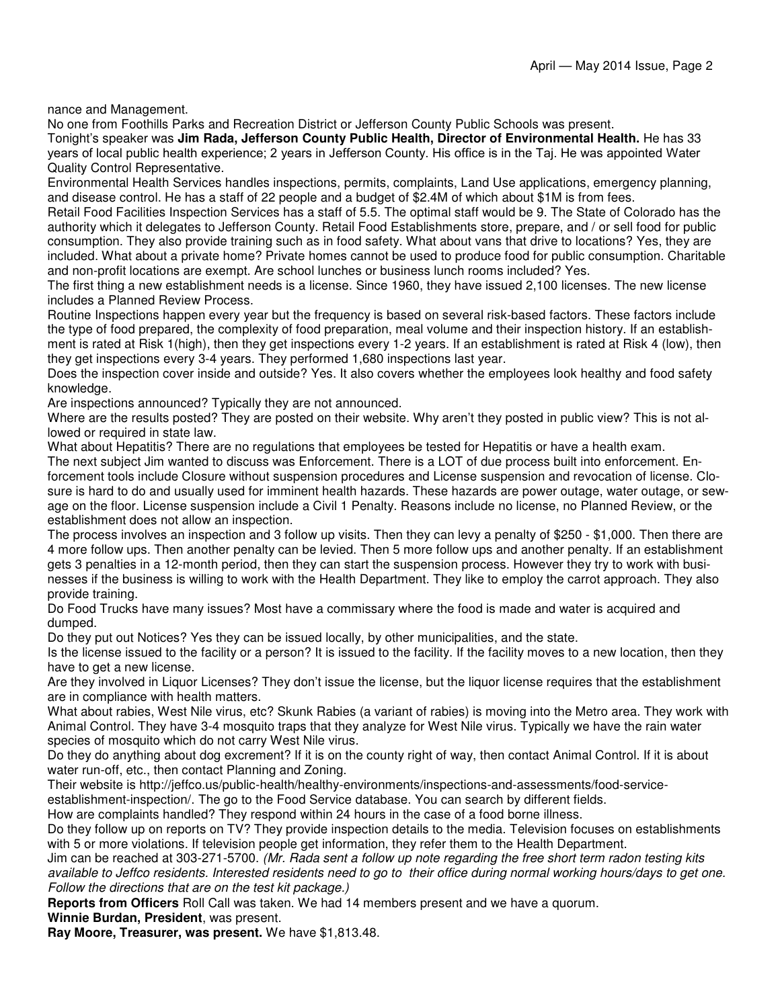nance and Management.

No one from Foothills Parks and Recreation District or Jefferson County Public Schools was present.

Tonight's speaker was **Jim Rada, Jefferson County Public Health, Director of Environmental Health.** He has 33 years of local public health experience; 2 years in Jefferson County. His office is in the Taj. He was appointed Water Quality Control Representative.

Environmental Health Services handles inspections, permits, complaints, Land Use applications, emergency planning, and disease control. He has a staff of 22 people and a budget of \$2.4M of which about \$1M is from fees.

Retail Food Facilities Inspection Services has a staff of 5.5. The optimal staff would be 9. The State of Colorado has the authority which it delegates to Jefferson County. Retail Food Establishments store, prepare, and / or sell food for public consumption. They also provide training such as in food safety. What about vans that drive to locations? Yes, they are included. What about a private home? Private homes cannot be used to produce food for public consumption. Charitable and non-profit locations are exempt. Are school lunches or business lunch rooms included? Yes.

The first thing a new establishment needs is a license. Since 1960, they have issued 2,100 licenses. The new license includes a Planned Review Process.

Routine Inspections happen every year but the frequency is based on several risk-based factors. These factors include the type of food prepared, the complexity of food preparation, meal volume and their inspection history. If an establishment is rated at Risk 1(high), then they get inspections every 1-2 years. If an establishment is rated at Risk 4 (low), then they get inspections every 3-4 years. They performed 1,680 inspections last year.

Does the inspection cover inside and outside? Yes. It also covers whether the employees look healthy and food safety knowledge.

Are inspections announced? Typically they are not announced.

Where are the results posted? They are posted on their website. Why aren't they posted in public view? This is not allowed or required in state law.

What about Hepatitis? There are no regulations that employees be tested for Hepatitis or have a health exam. The next subject Jim wanted to discuss was Enforcement. There is a LOT of due process built into enforcement. Enforcement tools include Closure without suspension procedures and License suspension and revocation of license. Closure is hard to do and usually used for imminent health hazards. These hazards are power outage, water outage, or sewage on the floor. License suspension include a Civil 1 Penalty. Reasons include no license, no Planned Review, or the establishment does not allow an inspection.

The process involves an inspection and 3 follow up visits. Then they can levy a penalty of \$250 - \$1,000. Then there are 4 more follow ups. Then another penalty can be levied. Then 5 more follow ups and another penalty. If an establishment gets 3 penalties in a 12-month period, then they can start the suspension process. However they try to work with businesses if the business is willing to work with the Health Department. They like to employ the carrot approach. They also provide training.

Do Food Trucks have many issues? Most have a commissary where the food is made and water is acquired and dumped.

Do they put out Notices? Yes they can be issued locally, by other municipalities, and the state.

Is the license issued to the facility or a person? It is issued to the facility. If the facility moves to a new location, then they have to get a new license.

Are they involved in Liquor Licenses? They don't issue the license, but the liquor license requires that the establishment are in compliance with health matters.

What about rabies, West Nile virus, etc? Skunk Rabies (a variant of rabies) is moving into the Metro area. They work with Animal Control. They have 3-4 mosquito traps that they analyze for West Nile virus. Typically we have the rain water species of mosquito which do not carry West Nile virus.

Do they do anything about dog excrement? If it is on the county right of way, then contact Animal Control. If it is about water run-off, etc., then contact Planning and Zoning.

Their website is http://jeffco.us/public-health/healthy-environments/inspections-and-assessments/food-service-

establishment-inspection/. The go to the Food Service database. You can search by different fields.

How are complaints handled? They respond within 24 hours in the case of a food borne illness.

Do they follow up on reports on TV? They provide inspection details to the media. Television focuses on establishments with 5 or more violations. If television people get information, they refer them to the Health Department.

Jim can be reached at 303-271-5700. (Mr. Rada sent a follow up note regarding the free short term radon testing kits available to Jeffco residents. Interested residents need to go to their office during normal working hours/days to get one. Follow the directions that are on the test kit package.)

**Reports from Officers** Roll Call was taken. We had 14 members present and we have a quorum.

**Winnie Burdan, President**, was present.

**Ray Moore, Treasurer, was present.** We have \$1,813.48.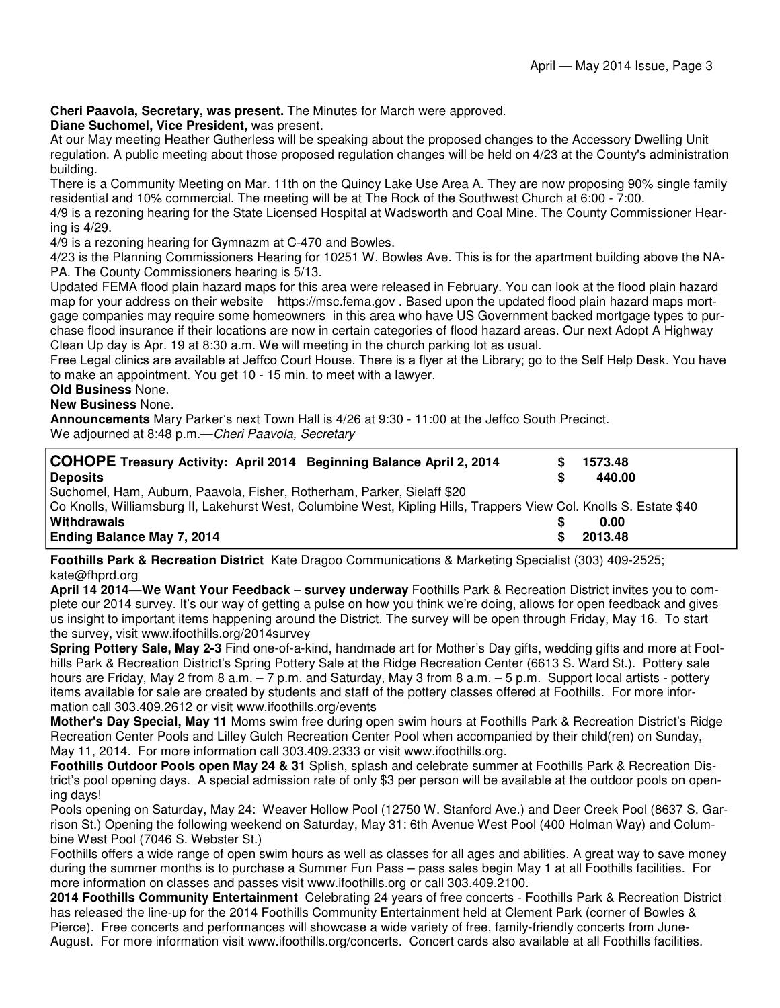**Cheri Paavola, Secretary, was present.** The Minutes for March were approved.

**Diane Suchomel, Vice President,** was present.

At our May meeting Heather Gutherless will be speaking about the proposed changes to the Accessory Dwelling Unit regulation. A public meeting about those proposed regulation changes will be held on 4/23 at the County's administration building.

There is a Community Meeting on Mar. 11th on the Quincy Lake Use Area A. They are now proposing 90% single family residential and 10% commercial. The meeting will be at The Rock of the Southwest Church at 6:00 - 7:00.

4/9 is a rezoning hearing for the State Licensed Hospital at Wadsworth and Coal Mine. The County Commissioner Hearing is 4/29.

4/9 is a rezoning hearing for Gymnazm at C-470 and Bowles.

4/23 is the Planning Commissioners Hearing for 10251 W. Bowles Ave. This is for the apartment building above the NA-PA. The County Commissioners hearing is 5/13.

Updated FEMA flood plain hazard maps for this area were released in February. You can look at the flood plain hazard map for your address on their website https://msc.fema.gov . Based upon the updated flood plain hazard maps mortgage companies may require some homeowners in this area who have US Government backed mortgage types to purchase flood insurance if their locations are now in certain categories of flood hazard areas. Our next Adopt A Highway Clean Up day is Apr. 19 at 8:30 a.m. We will meeting in the church parking lot as usual.

Free Legal clinics are available at Jeffco Court House. There is a flyer at the Library; go to the Self Help Desk. You have to make an appointment. You get 10 - 15 min. to meet with a lawyer.

#### **Old Business** None.

**New Business** None.

**Announcements** Mary Parker's next Town Hall is 4/26 at 9:30 - 11:00 at the Jeffco South Precinct. We adjourned at 8:48 p.m.-Cheri Paavola, Secretary

| <b>COHOPE Treasury Activity: April 2014 Beginning Balance April 2, 2014</b><br><b>Deposits</b>                      |    | 1573.48<br>440.00 |
|---------------------------------------------------------------------------------------------------------------------|----|-------------------|
| Suchomel, Ham, Auburn, Paavola, Fisher, Rotherham, Parker, Sielaff \$20                                             |    |                   |
| Co Knolls, Williamsburg II, Lakehurst West, Columbine West, Kipling Hills, Trappers View Col. Knolls S. Estate \$40 |    |                   |
| Withdrawals                                                                                                         |    | 0.00              |
| <b>Ending Balance May 7, 2014</b>                                                                                   | S. | 2013.48           |

**Foothills Park & Recreation District** Kate Dragoo Communications & Marketing Specialist (303) 409-2525; kate@fhprd.org

**April 14 2014—We Want Your Feedback** – **survey underway** Foothills Park & Recreation District invites you to complete our 2014 survey. It's our way of getting a pulse on how you think we're doing, allows for open feedback and gives us insight to important items happening around the District. The survey will be open through Friday, May 16. To start the survey, visit www.ifoothills.org/2014survey

**Spring Pottery Sale, May 2-3** Find one-of-a-kind, handmade art for Mother's Day gifts, wedding gifts and more at Foothills Park & Recreation District's Spring Pottery Sale at the Ridge Recreation Center (6613 S. Ward St.). Pottery sale hours are Friday, May 2 from 8 a.m. – 7 p.m. and Saturday, May 3 from 8 a.m. – 5 p.m. Support local artists - pottery items available for sale are created by students and staff of the pottery classes offered at Foothills. For more information call 303.409.2612 or visit www.ifoothills.org/events

**Mother's Day Special, May 11** Moms swim free during open swim hours at Foothills Park & Recreation District's Ridge Recreation Center Pools and Lilley Gulch Recreation Center Pool when accompanied by their child(ren) on Sunday, May 11, 2014. For more information call 303.409.2333 or visit www.ifoothills.org.

**Foothills Outdoor Pools open May 24 & 31** Splish, splash and celebrate summer at Foothills Park & Recreation District's pool opening days. A special admission rate of only \$3 per person will be available at the outdoor pools on opening days!

Pools opening on Saturday, May 24: Weaver Hollow Pool (12750 W. Stanford Ave.) and Deer Creek Pool (8637 S. Garrison St.) Opening the following weekend on Saturday, May 31: 6th Avenue West Pool (400 Holman Way) and Columbine West Pool (7046 S. Webster St.)

Foothills offers a wide range of open swim hours as well as classes for all ages and abilities. A great way to save money during the summer months is to purchase a Summer Fun Pass – pass sales begin May 1 at all Foothills facilities. For more information on classes and passes visit www.ifoothills.org or call 303.409.2100.

**2014 Foothills Community Entertainment** Celebrating 24 years of free concerts - Foothills Park & Recreation District has released the line-up for the 2014 Foothills Community Entertainment held at Clement Park (corner of Bowles & Pierce). Free concerts and performances will showcase a wide variety of free, family-friendly concerts from June-August. For more information visit www.ifoothills.org/concerts. Concert cards also available at all Foothills facilities.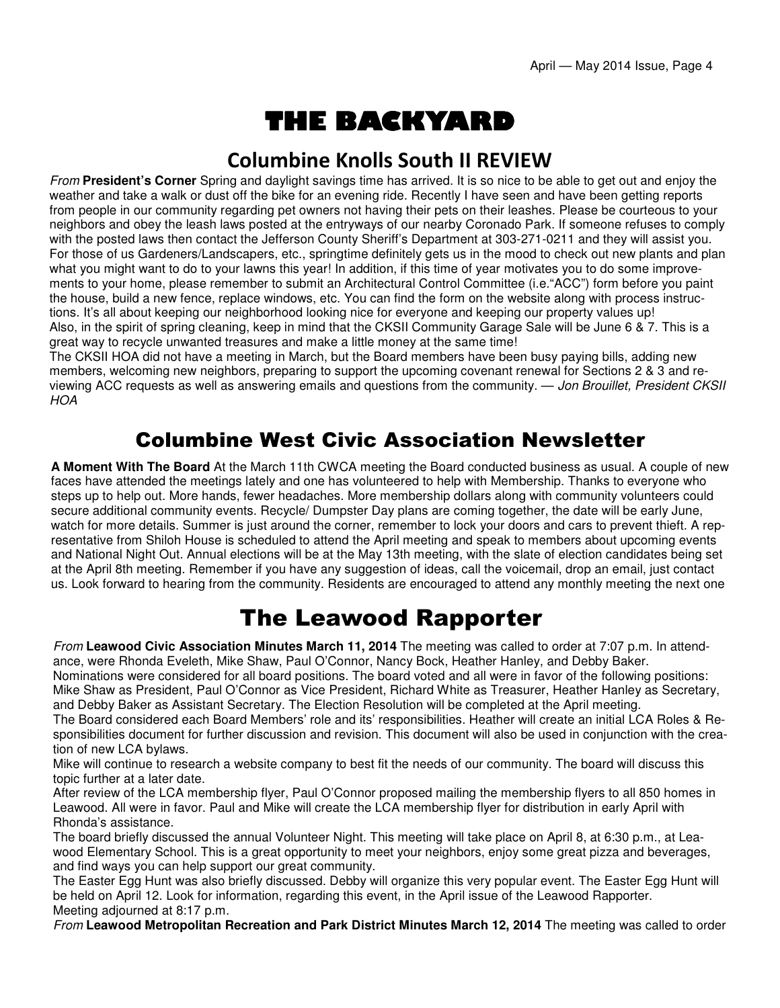# THE BACKYARD

#### Columbine Knolls South II REVIEW

From **President's Corner** Spring and daylight savings time has arrived. It is so nice to be able to get out and enjoy the weather and take a walk or dust off the bike for an evening ride. Recently I have seen and have been getting reports from people in our community regarding pet owners not having their pets on their leashes. Please be courteous to your neighbors and obey the leash laws posted at the entryways of our nearby Coronado Park. If someone refuses to comply with the posted laws then contact the Jefferson County Sheriff's Department at 303-271-0211 and they will assist you. For those of us Gardeners/Landscapers, etc., springtime definitely gets us in the mood to check out new plants and plan what you might want to do to your lawns this year! In addition, if this time of year motivates you to do some improvements to your home, please remember to submit an Architectural Control Committee (i.e."ACC") form before you paint the house, build a new fence, replace windows, etc. You can find the form on the website along with process instructions. It's all about keeping our neighborhood looking nice for everyone and keeping our property values up! Also, in the spirit of spring cleaning, keep in mind that the CKSII Community Garage Sale will be June 6 & 7. This is a great way to recycle unwanted treasures and make a little money at the same time!

The CKSII HOA did not have a meeting in March, but the Board members have been busy paying bills, adding new members, welcoming new neighbors, preparing to support the upcoming covenant renewal for Sections 2 & 3 and reviewing ACC requests as well as answering emails and questions from the community. — Jon Brouillet, President CKSII **HOA** 

#### Columbine West Civic Association Newsletter

**A Moment With The Board** At the March 11th CWCA meeting the Board conducted business as usual. A couple of new faces have attended the meetings lately and one has volunteered to help with Membership. Thanks to everyone who steps up to help out. More hands, fewer headaches. More membership dollars along with community volunteers could secure additional community events. Recycle/ Dumpster Day plans are coming together, the date will be early June, watch for more details. Summer is just around the corner, remember to lock your doors and cars to prevent thieft. A representative from Shiloh House is scheduled to attend the April meeting and speak to members about upcoming events and National Night Out. Annual elections will be at the May 13th meeting, with the slate of election candidates being set at the April 8th meeting. Remember if you have any suggestion of ideas, call the voicemail, drop an email, just contact us. Look forward to hearing from the community. Residents are encouraged to attend any monthly meeting the next one

## The Leawood Rapporter

From **Leawood Civic Association Minutes March 11, 2014** The meeting was called to order at 7:07 p.m. In attendance, were Rhonda Eveleth, Mike Shaw, Paul O'Connor, Nancy Bock, Heather Hanley, and Debby Baker.

Nominations were considered for all board positions. The board voted and all were in favor of the following positions: Mike Shaw as President, Paul O'Connor as Vice President, Richard White as Treasurer, Heather Hanley as Secretary, and Debby Baker as Assistant Secretary. The Election Resolution will be completed at the April meeting.

The Board considered each Board Members' role and its' responsibilities. Heather will create an initial LCA Roles & Responsibilities document for further discussion and revision. This document will also be used in conjunction with the creation of new LCA bylaws.

Mike will continue to research a website company to best fit the needs of our community. The board will discuss this topic further at a later date.

After review of the LCA membership flyer, Paul O'Connor proposed mailing the membership flyers to all 850 homes in Leawood. All were in favor. Paul and Mike will create the LCA membership flyer for distribution in early April with Rhonda's assistance.

The board briefly discussed the annual Volunteer Night. This meeting will take place on April 8, at 6:30 p.m., at Leawood Elementary School. This is a great opportunity to meet your neighbors, enjoy some great pizza and beverages, and find ways you can help support our great community.

The Easter Egg Hunt was also briefly discussed. Debby will organize this very popular event. The Easter Egg Hunt will be held on April 12. Look for information, regarding this event, in the April issue of the Leawood Rapporter. Meeting adjourned at 8:17 p.m.

From **Leawood Metropolitan Recreation and Park District Minutes March 12, 2014** The meeting was called to order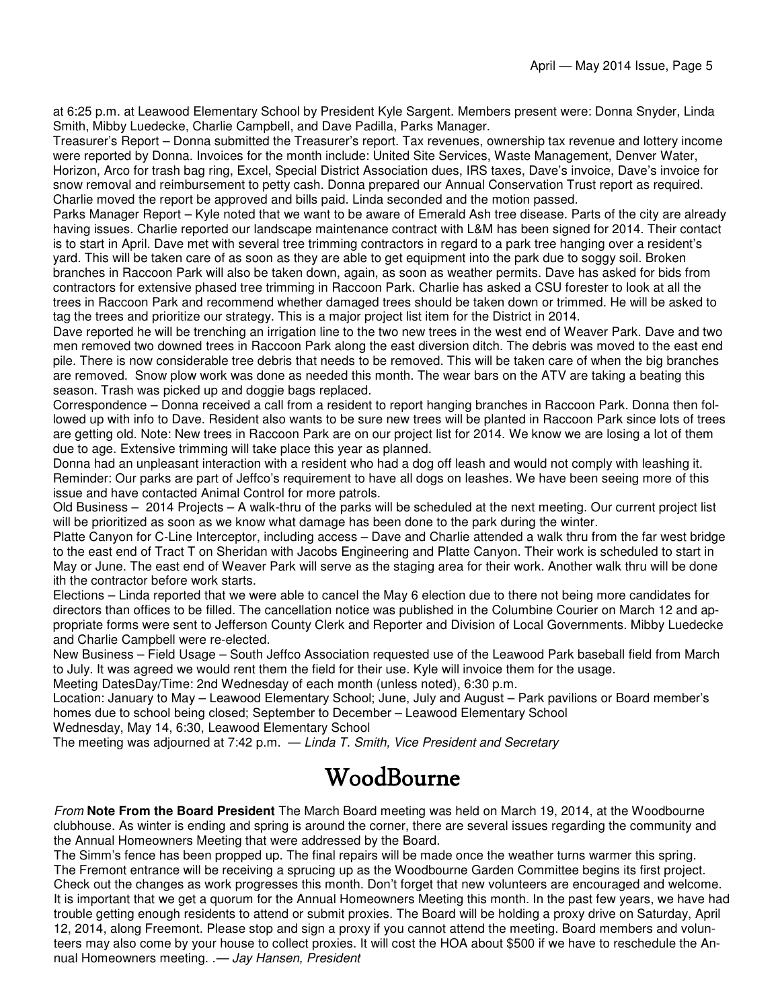at 6:25 p.m. at Leawood Elementary School by President Kyle Sargent. Members present were: Donna Snyder, Linda Smith, Mibby Luedecke, Charlie Campbell, and Dave Padilla, Parks Manager.

Treasurer's Report – Donna submitted the Treasurer's report. Tax revenues, ownership tax revenue and lottery income were reported by Donna. Invoices for the month include: United Site Services, Waste Management, Denver Water, Horizon, Arco for trash bag ring, Excel, Special District Association dues, IRS taxes, Dave's invoice, Dave's invoice for snow removal and reimbursement to petty cash. Donna prepared our Annual Conservation Trust report as required. Charlie moved the report be approved and bills paid. Linda seconded and the motion passed.

Parks Manager Report – Kyle noted that we want to be aware of Emerald Ash tree disease. Parts of the city are already having issues. Charlie reported our landscape maintenance contract with L&M has been signed for 2014. Their contact is to start in April. Dave met with several tree trimming contractors in regard to a park tree hanging over a resident's yard. This will be taken care of as soon as they are able to get equipment into the park due to soggy soil. Broken branches in Raccoon Park will also be taken down, again, as soon as weather permits. Dave has asked for bids from contractors for extensive phased tree trimming in Raccoon Park. Charlie has asked a CSU forester to look at all the trees in Raccoon Park and recommend whether damaged trees should be taken down or trimmed. He will be asked to tag the trees and prioritize our strategy. This is a major project list item for the District in 2014.

Dave reported he will be trenching an irrigation line to the two new trees in the west end of Weaver Park. Dave and two men removed two downed trees in Raccoon Park along the east diversion ditch. The debris was moved to the east end pile. There is now considerable tree debris that needs to be removed. This will be taken care of when the big branches are removed. Snow plow work was done as needed this month. The wear bars on the ATV are taking a beating this season. Trash was picked up and doggie bags replaced.

Correspondence – Donna received a call from a resident to report hanging branches in Raccoon Park. Donna then followed up with info to Dave. Resident also wants to be sure new trees will be planted in Raccoon Park since lots of trees are getting old. Note: New trees in Raccoon Park are on our project list for 2014. We know we are losing a lot of them due to age. Extensive trimming will take place this year as planned.

Donna had an unpleasant interaction with a resident who had a dog off leash and would not comply with leashing it. Reminder: Our parks are part of Jeffco's requirement to have all dogs on leashes. We have been seeing more of this issue and have contacted Animal Control for more patrols.

Old Business – 2014 Projects – A walk-thru of the parks will be scheduled at the next meeting. Our current project list will be prioritized as soon as we know what damage has been done to the park during the winter.

Platte Canyon for C-Line Interceptor, including access – Dave and Charlie attended a walk thru from the far west bridge to the east end of Tract T on Sheridan with Jacobs Engineering and Platte Canyon. Their work is scheduled to start in May or June. The east end of Weaver Park will serve as the staging area for their work. Another walk thru will be done ith the contractor before work starts.

Elections – Linda reported that we were able to cancel the May 6 election due to there not being more candidates for directors than offices to be filled. The cancellation notice was published in the Columbine Courier on March 12 and appropriate forms were sent to Jefferson County Clerk and Reporter and Division of Local Governments. Mibby Luedecke and Charlie Campbell were re-elected.

New Business – Field Usage – South Jeffco Association requested use of the Leawood Park baseball field from March to July. It was agreed we would rent them the field for their use. Kyle will invoice them for the usage.

Meeting DatesDay/Time: 2nd Wednesday of each month (unless noted), 6:30 p.m.

Location: January to May – Leawood Elementary School; June, July and August – Park pavilions or Board member's homes due to school being closed; September to December – Leawood Elementary School

Wednesday, May 14, 6:30, Leawood Elementary School

The meeting was adjourned at 7:42 p.m.  $-$  Linda T. Smith, Vice President and Secretary

## WoodBourne

From **Note From the Board President** The March Board meeting was held on March 19, 2014, at the Woodbourne clubhouse. As winter is ending and spring is around the corner, there are several issues regarding the community and the Annual Homeowners Meeting that were addressed by the Board.

The Simm's fence has been propped up. The final repairs will be made once the weather turns warmer this spring. The Fremont entrance will be receiving a sprucing up as the Woodbourne Garden Committee begins its first project. Check out the changes as work progresses this month. Don't forget that new volunteers are encouraged and welcome. It is important that we get a quorum for the Annual Homeowners Meeting this month. In the past few years, we have had trouble getting enough residents to attend or submit proxies. The Board will be holding a proxy drive on Saturday, April 12, 2014, along Freemont. Please stop and sign a proxy if you cannot attend the meeting. Board members and volunteers may also come by your house to collect proxies. It will cost the HOA about \$500 if we have to reschedule the Annual Homeowners meeting. .— Jay Hansen, President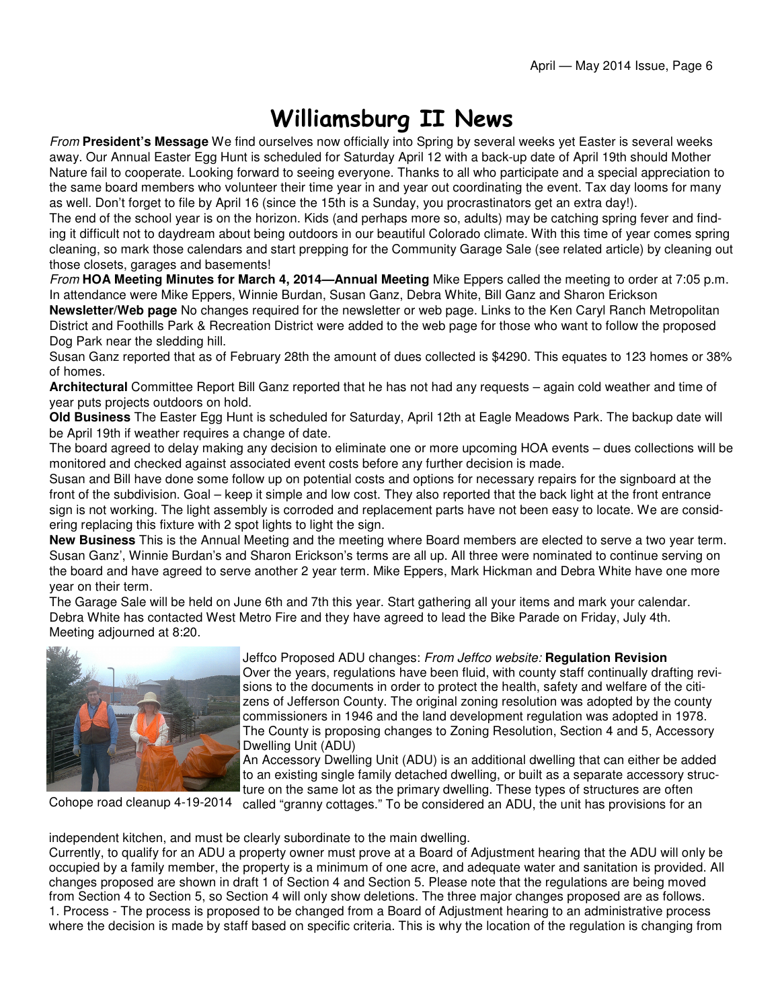## Williamsburg II News

From **President's Message** We find ourselves now officially into Spring by several weeks yet Easter is several weeks away. Our Annual Easter Egg Hunt is scheduled for Saturday April 12 with a back-up date of April 19th should Mother Nature fail to cooperate. Looking forward to seeing everyone. Thanks to all who participate and a special appreciation to the same board members who volunteer their time year in and year out coordinating the event. Tax day looms for many as well. Don't forget to file by April 16 (since the 15th is a Sunday, you procrastinators get an extra day!).

The end of the school year is on the horizon. Kids (and perhaps more so, adults) may be catching spring fever and finding it difficult not to daydream about being outdoors in our beautiful Colorado climate. With this time of year comes spring cleaning, so mark those calendars and start prepping for the Community Garage Sale (see related article) by cleaning out those closets, garages and basements!

From **HOA Meeting Minutes for March 4, 2014—Annual Meeting** Mike Eppers called the meeting to order at 7:05 p.m. In attendance were Mike Eppers, Winnie Burdan, Susan Ganz, Debra White, Bill Ganz and Sharon Erickson

**Newsletter/Web page** No changes required for the newsletter or web page. Links to the Ken Caryl Ranch Metropolitan District and Foothills Park & Recreation District were added to the web page for those who want to follow the proposed Dog Park near the sledding hill.

Susan Ganz reported that as of February 28th the amount of dues collected is \$4290. This equates to 123 homes or 38% of homes.

**Architectural** Committee Report Bill Ganz reported that he has not had any requests – again cold weather and time of year puts projects outdoors on hold.

**Old Business** The Easter Egg Hunt is scheduled for Saturday, April 12th at Eagle Meadows Park. The backup date will be April 19th if weather requires a change of date.

The board agreed to delay making any decision to eliminate one or more upcoming HOA events – dues collections will be monitored and checked against associated event costs before any further decision is made.

Susan and Bill have done some follow up on potential costs and options for necessary repairs for the signboard at the front of the subdivision. Goal – keep it simple and low cost. They also reported that the back light at the front entrance sign is not working. The light assembly is corroded and replacement parts have not been easy to locate. We are considering replacing this fixture with 2 spot lights to light the sign.

**New Business** This is the Annual Meeting and the meeting where Board members are elected to serve a two year term. Susan Ganz', Winnie Burdan's and Sharon Erickson's terms are all up. All three were nominated to continue serving on the board and have agreed to serve another 2 year term. Mike Eppers, Mark Hickman and Debra White have one more year on their term.

The Garage Sale will be held on June 6th and 7th this year. Start gathering all your items and mark your calendar. Debra White has contacted West Metro Fire and they have agreed to lead the Bike Parade on Friday, July 4th. Meeting adjourned at 8:20.



Jeffco Proposed ADU changes: From Jeffco website: **Regulation Revision** Over the years, regulations have been fluid, with county staff continually drafting revisions to the documents in order to protect the health, safety and welfare of the citizens of Jefferson County. The original zoning resolution was adopted by the county commissioners in 1946 and the land development regulation was adopted in 1978. The County is proposing changes to Zoning Resolution, Section 4 and 5, Accessory Dwelling Unit (ADU)

An Accessory Dwelling Unit (ADU) is an additional dwelling that can either be added to an existing single family detached dwelling, or built as a separate accessory structure on the same lot as the primary dwelling. These types of structures are often

Cohope road cleanup 4-19-2014 called "granny cottages." To be considered an ADU, the unit has provisions for an

independent kitchen, and must be clearly subordinate to the main dwelling.

Currently, to qualify for an ADU a property owner must prove at a Board of Adjustment hearing that the ADU will only be occupied by a family member, the property is a minimum of one acre, and adequate water and sanitation is provided. All changes proposed are shown in draft 1 of Section 4 and Section 5. Please note that the regulations are being moved from Section 4 to Section 5, so Section 4 will only show deletions. The three major changes proposed are as follows. 1. Process - The process is proposed to be changed from a Board of Adjustment hearing to an administrative process where the decision is made by staff based on specific criteria. This is why the location of the regulation is changing from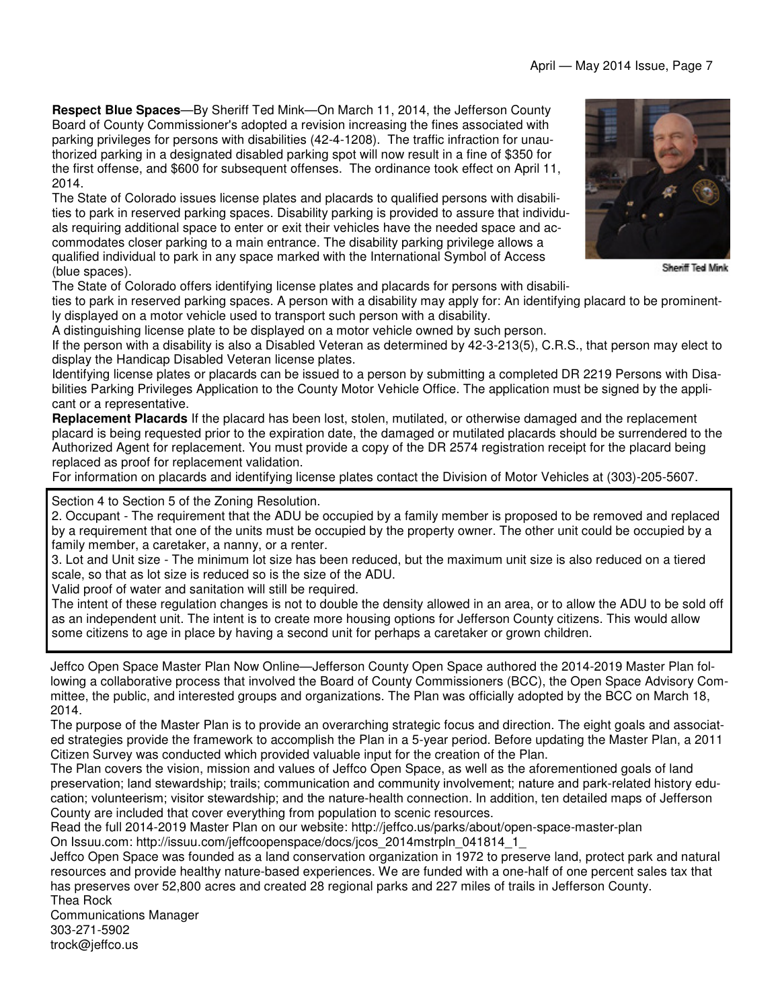**Respect Blue Spaces**—By Sheriff Ted Mink—On March 11, 2014, the Jefferson County Board of County Commissioner's adopted a revision increasing the fines associated with parking privileges for persons with disabilities (42-4-1208). The traffic infraction for unauthorized parking in a designated disabled parking spot will now result in a fine of \$350 for the first offense, and \$600 for subsequent offenses. The ordinance took effect on April 11, 2014.

The State of Colorado issues license plates and placards to qualified persons with disabilities to park in reserved parking spaces. Disability parking is provided to assure that individuals requiring additional space to enter or exit their vehicles have the needed space and accommodates closer parking to a main entrance. The disability parking privilege allows a qualified individual to park in any space marked with the International Symbol of Access (blue spaces).

The State of Colorado offers identifying license plates and placards for persons with disabili-

ties to park in reserved parking spaces. A person with a disability may apply for: An identifying placard to be prominently displayed on a motor vehicle used to transport such person with a disability.

A distinguishing license plate to be displayed on a motor vehicle owned by such person.

If the person with a disability is also a Disabled Veteran as determined by 42-3-213(5), C.R.S., that person may elect to display the Handicap Disabled Veteran license plates.

Identifying license plates or placards can be issued to a person by submitting a completed DR 2219 Persons with Disabilities Parking Privileges Application to the County Motor Vehicle Office. The application must be signed by the applicant or a representative.

**Replacement Placards** If the placard has been lost, stolen, mutilated, or otherwise damaged and the replacement placard is being requested prior to the expiration date, the damaged or mutilated placards should be surrendered to the Authorized Agent for replacement. You must provide a copy of the DR 2574 registration receipt for the placard being replaced as proof for replacement validation.

For information on placards and identifying license plates contact the Division of Motor Vehicles at (303)-205-5607.

Section 4 to Section 5 of the Zoning Resolution.

2. Occupant - The requirement that the ADU be occupied by a family member is proposed to be removed and replaced by a requirement that one of the units must be occupied by the property owner. The other unit could be occupied by a family member, a caretaker, a nanny, or a renter.

3. Lot and Unit size - The minimum lot size has been reduced, but the maximum unit size is also reduced on a tiered scale, so that as lot size is reduced so is the size of the ADU.

Valid proof of water and sanitation will still be required.

The intent of these regulation changes is not to double the density allowed in an area, or to allow the ADU to be sold off as an independent unit. The intent is to create more housing options for Jefferson County citizens. This would allow some citizens to age in place by having a second unit for perhaps a caretaker or grown children.

Jeffco Open Space Master Plan Now Online—Jefferson County Open Space authored the 2014-2019 Master Plan following a collaborative process that involved the Board of County Commissioners (BCC), the Open Space Advisory Committee, the public, and interested groups and organizations. The Plan was officially adopted by the BCC on March 18, 2014.

The purpose of the Master Plan is to provide an overarching strategic focus and direction. The eight goals and associated strategies provide the framework to accomplish the Plan in a 5-year period. Before updating the Master Plan, a 2011 Citizen Survey was conducted which provided valuable input for the creation of the Plan.

The Plan covers the vision, mission and values of Jeffco Open Space, as well as the aforementioned goals of land preservation; land stewardship; trails; communication and community involvement; nature and park-related history education; volunteerism; visitor stewardship; and the nature-health connection. In addition, ten detailed maps of Jefferson County are included that cover everything from population to scenic resources.

Read the full 2014-2019 Master Plan on our website: http://jeffco.us/parks/about/open-space-master-plan On Issuu.com: http://issuu.com/jeffcoopenspace/docs/jcos\_2014mstrpln\_041814\_1\_

Jeffco Open Space was founded as a land conservation organization in 1972 to preserve land, protect park and natural resources and provide healthy nature-based experiences. We are funded with a one-half of one percent sales tax that has preserves over 52,800 acres and created 28 regional parks and 227 miles of trails in Jefferson County. Thea Rock

Communications Manager 303-271-5902 trock@jeffco.us



Sheriff Ted Mink